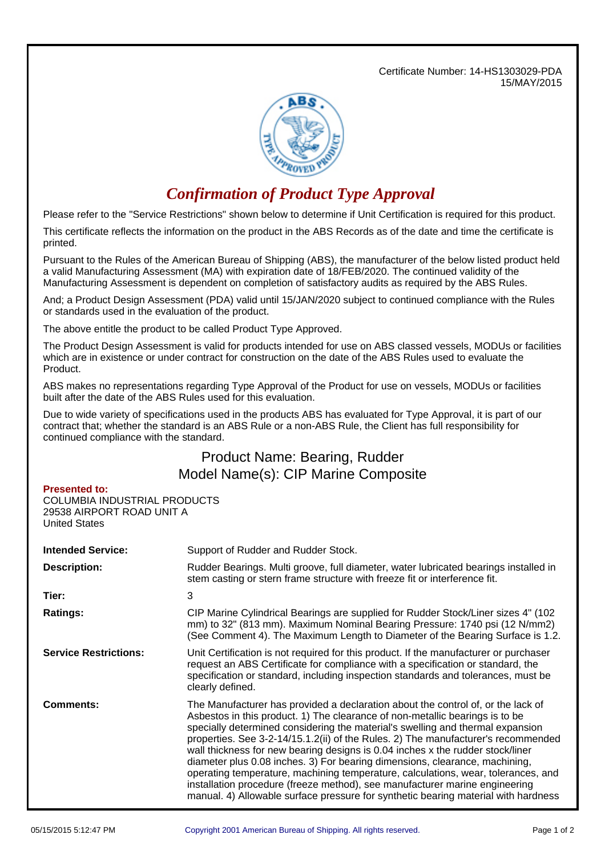Certificate Number: 14-HS1303029-PDA 15/MAY/2015



## *Confirmation of Product Type Approval*

Please refer to the "Service Restrictions" shown below to determine if Unit Certification is required for this product.

This certificate reflects the information on the product in the ABS Records as of the date and time the certificate is printed.

Pursuant to the Rules of the American Bureau of Shipping (ABS), the manufacturer of the below listed product held a valid Manufacturing Assessment (MA) with expiration date of 18/FEB/2020. The continued validity of the Manufacturing Assessment is dependent on completion of satisfactory audits as required by the ABS Rules.

And; a Product Design Assessment (PDA) valid until 15/JAN/2020 subject to continued compliance with the Rules or standards used in the evaluation of the product.

The above entitle the product to be called Product Type Approved.

The Product Design Assessment is valid for products intended for use on ABS classed vessels, MODUs or facilities which are in existence or under contract for construction on the date of the ABS Rules used to evaluate the Product.

ABS makes no representations regarding Type Approval of the Product for use on vessels, MODUs or facilities built after the date of the ABS Rules used for this evaluation.

Due to wide variety of specifications used in the products ABS has evaluated for Type Approval, it is part of our contract that; whether the standard is an ABS Rule or a non-ABS Rule, the Client has full responsibility for continued compliance with the standard.

## Product Name: Bearing, Rudder Model Name(s): CIP Marine Composite

## **Presented to:**

COLUMBIA INDUSTRIAL PRODUCTS 29538 AIRPORT ROAD UNIT A United States

| <b>Intended Service:</b>     | Support of Rudder and Rudder Stock.                                                                                                                                                                                                                                                                                                                                                                                                                                                                                                                                                                                                                                                                                                                                |  |  |
|------------------------------|--------------------------------------------------------------------------------------------------------------------------------------------------------------------------------------------------------------------------------------------------------------------------------------------------------------------------------------------------------------------------------------------------------------------------------------------------------------------------------------------------------------------------------------------------------------------------------------------------------------------------------------------------------------------------------------------------------------------------------------------------------------------|--|--|
| <b>Description:</b>          | Rudder Bearings. Multi groove, full diameter, water lubricated bearings installed in<br>stem casting or stern frame structure with freeze fit or interference fit.                                                                                                                                                                                                                                                                                                                                                                                                                                                                                                                                                                                                 |  |  |
| Tier:                        | 3                                                                                                                                                                                                                                                                                                                                                                                                                                                                                                                                                                                                                                                                                                                                                                  |  |  |
| <b>Ratings:</b>              | CIP Marine Cylindrical Bearings are supplied for Rudder Stock/Liner sizes 4" (102)<br>mm) to 32" (813 mm). Maximum Nominal Bearing Pressure: 1740 psi (12 N/mm2)<br>(See Comment 4). The Maximum Length to Diameter of the Bearing Surface is 1.2.                                                                                                                                                                                                                                                                                                                                                                                                                                                                                                                 |  |  |
| <b>Service Restrictions:</b> | Unit Certification is not required for this product. If the manufacturer or purchaser<br>request an ABS Certificate for compliance with a specification or standard, the<br>specification or standard, including inspection standards and tolerances, must be<br>clearly defined.                                                                                                                                                                                                                                                                                                                                                                                                                                                                                  |  |  |
| <b>Comments:</b>             | The Manufacturer has provided a declaration about the control of, or the lack of<br>Asbestos in this product. 1) The clearance of non-metallic bearings is to be<br>specially determined considering the material's swelling and thermal expansion<br>properties. See 3-2-14/15.1.2(ii) of the Rules. 2) The manufacturer's recommended<br>wall thickness for new bearing designs is 0.04 inches x the rudder stock/liner<br>diameter plus 0.08 inches. 3) For bearing dimensions, clearance, machining,<br>operating temperature, machining temperature, calculations, wear, tolerances, and<br>installation procedure (freeze method), see manufacturer marine engineering<br>manual. 4) Allowable surface pressure for synthetic bearing material with hardness |  |  |